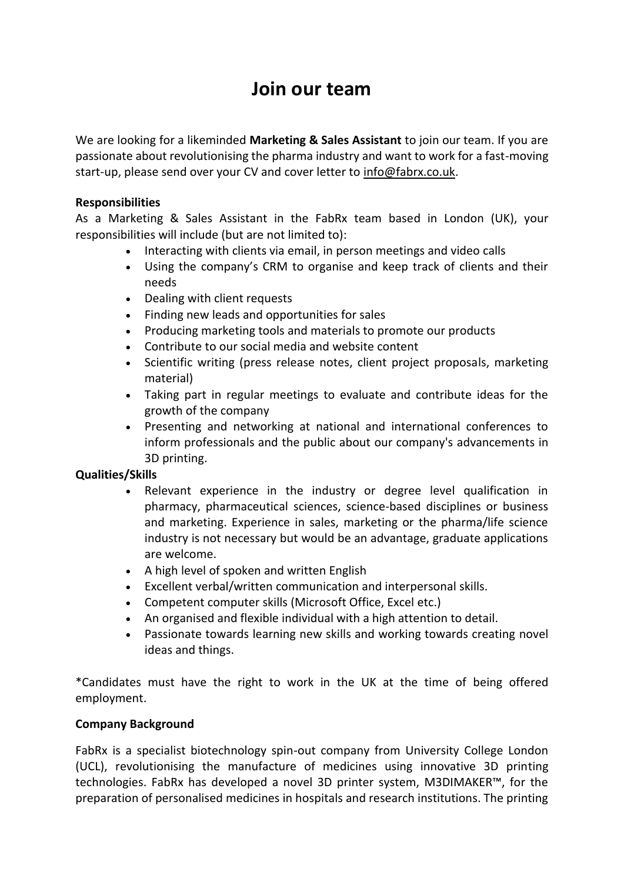# **Join our team**

We are looking for a likeminded **Marketing & Sales Assistant** to join our team. If you are passionate about revolutionising the pharma industry and want to work for a fast-moving start-up, please send over your CV and cover letter to [info@fabrx.co.uk.](mailto:info@fabrx.co.uk)

## **Responsibilities**

As a Marketing & Sales Assistant in the FabRx team based in London (UK), your responsibilities will include (but are not limited to):

- Interacting with clients via email, in person meetings and video calls
- Using the company's CRM to organise and keep track of clients and their needs
- Dealing with client requests
- Finding new leads and opportunities for sales
- Producing marketing tools and materials to promote our products
- Contribute to our social media and website content
- Scientific writing (press release notes, client project proposals, marketing material)
- Taking part in regular meetings to evaluate and contribute ideas for the growth of the company
- Presenting and networking at national and international conferences to inform professionals and the public about our company's advancements in 3D printing.

#### **Qualities/Skills**

- Relevant experience in the industry or degree level qualification in pharmacy, pharmaceutical sciences, science-based disciplines or business and marketing. Experience in sales, marketing or the pharma/life science industry is not necessary but would be an advantage, graduate applications are welcome.
- A high level of spoken and written English
- Excellent verbal/written communication and interpersonal skills.
- Competent computer skills (Microsoft Office, Excel etc.)
- An organised and flexible individual with a high attention to detail.
- Passionate towards learning new skills and working towards creating novel ideas and things.

\*Candidates must have the right to work in the UK at the time of being offered employment.

#### **Company Background**

FabRx is a specialist biotechnology spin-out company from University College London (UCL), revolutionising the manufacture of medicines using innovative 3D printing technologies. FabRx has developed a novel 3D printer system, M3DIMAKER™, for the preparation of personalised medicines in hospitals and research institutions. The printing